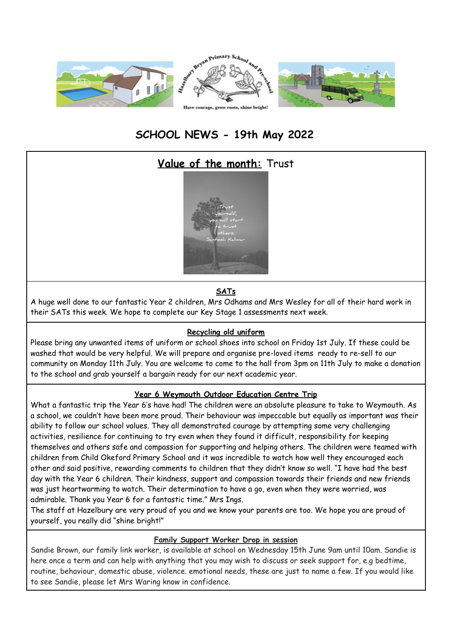

# **SCHOOL NEWS - 19th May 2022**

# **Value of the month:** Trust



## **SATs**

A huge well done to our fantastic Year 2 children, Mrs Odhams and Mrs Wesley for all of their hard work in their SATs this week. We hope to complete our Key Stage 1 assessments next week.

#### **Recycling old uniform**

Please bring any unwanted items of uniform or school shoes into school on Friday 1st July. If these could be washed that would be very helpful. We will prepare and organise pre-loved items ready to re-sell to our community on Monday 11th July. You are welcome to come to the hall from 3pm on 11th July to make a donation to the school and grab yourself a bargain ready for our next academic year.

#### **Year 6 Weymouth Outdoor Education Centre Trip**

What a fantastic trip the Year 6's have had! The children were an absolute pleasure to take to Weymouth. As a school, we couldn't have been more proud. Their behaviour was impeccable but equally as important was their ability to follow our school values. They all demonstrated courage by attempting some very challenging activities, resilience for continuing to try even when they found it difficult, responsibility for keeping themselves and others safe and compassion for supporting and helping others. The children were teamed with children from Child Okeford Primary School and it was incredible to watch how well they encouraged each other and said positive, rewarding comments to children that they didn't know so well. "I have had the best day with the Year 6 children. Their kindness, support and compassion towards their friends and new friends was just heartwarming to watch. Their determination to have a go, even when they were worried, was admirable. Thank you Year 6 for a fantastic time." Mrs Ings.

The staff at Hazelbury are very proud of you and we know your parents are too. We hope you are proud of yourself, you really did "shine bright!"

#### **Family Support Worker Drop in session**

Sandie Brown, our family link worker, is available at school on Wednesday 15th June 9am until 10am. Sandie is here once a term and can help with anything that you may wish to discuss or seek support for, e.g bedtime, routine, behaviour, domestic abuse, violence. emotional needs, these are just to name a few. If you would like to see Sandie, please let Mrs Waring know in confidence.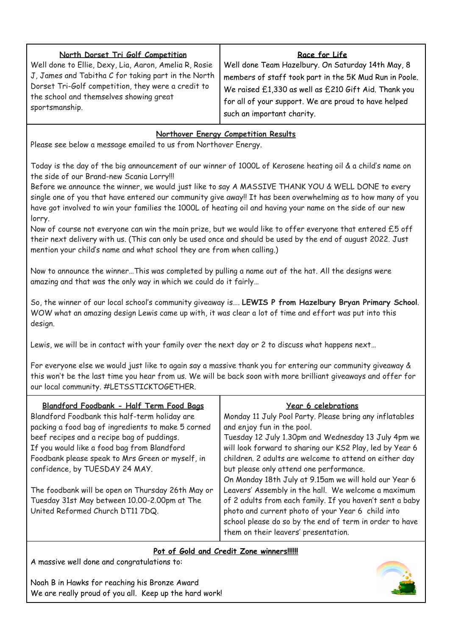| North Dorset Tri Golf Competition                     | Race for Life                                          |
|-------------------------------------------------------|--------------------------------------------------------|
| Well done to Ellie, Dexy, Lia, Aaron, Amelia R, Rosie | Well done Team Hazelbury. On Saturday 14th May, 8      |
| J, James and Tabitha C for taking part in the North   | members of staff took part in the 5K Mud Run in Poole. |
| Dorset Tri-Golf competition, they were a credit to    | We raised £1,330 as well as £210 Gift Aid. Thank you   |
| the school and themselves showing great               | for all of your support. We are proud to have helped   |
| sportsmanship.                                        | such an important charity.                             |

## **Northover Energy Competition Results**

Please see below a message emailed to us from Northover Energy.

Today is the day of the big announcement of our winner of 1000L of Kerosene heating oil & a child's name on the side of our Brand-new Scania Lorry!!!

Before we announce the winner, we would just like to say A MASSIVE THANK YOU & WELL DONE to every single one of you that have entered our community give away!! It has been overwhelming as to how many of you have got involved to win your families the 1000L of heating oil and having your name on the side of our new lorry.

Now of course not everyone can win the main prize, but we would like to offer everyone that entered £5 off their next delivery with us. (This can only be used once and should be used by the end of august 2022. Just mention your child's name and what school they are from when calling.)

Now to announce the winner…This was completed by pulling a name out of the hat. All the designs were amazing and that was the only way in which we could do it fairly…

So, the winner of our local school's community giveaway is…. **LEWIS P from Hazelbury Bryan Primary School**. WOW what an amazing design Lewis came up with, it was clear a lot of time and effort was put into this design.

Lewis, we will be in contact with your family over the next day or 2 to discuss what happens next…

For everyone else we would just like to again say a massive thank you for entering our community giveaway & this won't be the last time you hear from us. We will be back soon with more brilliant giveaways and offer for our local community. #LETSSTICKTOGETHER.

| Blandford Foodbank - Half Term Food Baas           | <b>Year 6 celebrations</b>                               |
|----------------------------------------------------|----------------------------------------------------------|
| Blandford Foodbank this half-term holiday are      | Monday 11 July Pool Party. Please bring any inflatables  |
| packing a food bag of ingredients to make 5 corned | and enjoy fun in the pool.                               |
| beef recipes and a recipe bag of puddings.         | Tuesday 12 July 1.30pm and Wednesday 13 July 4pm we      |
| If you would like a food bag from Blandford        | will look forward to sharing our KS2 Play, led by Year 6 |
| Foodbank please speak to Mrs Green or myself, in   | children. 2 adults are welcome to attend on either day   |
| confidence, by TUESDAY 24 MAY.                     | but please only attend one performance.                  |
|                                                    | On Monday 18th July at 9.15am we will hold our Year 6    |
| The foodbank will be open on Thursday 26th May or  | Leavers' Assembly in the hall. We welcome a maximum      |
| Tuesday 31st May between 10.00-2.00pm at The       | of 2 adults from each family. If you haven't sent a baby |
| United Reformed Church DT11 7DQ.                   | photo and current photo of your Year 6 child into        |
|                                                    | school please do so by the end of term in order to have  |
|                                                    | them on their leavers' presentation.                     |

### **Pot of Gold and Credit Zone winners!!!!!!**

A massive well done and congratulations to:

Noah B in Hawks for reaching his Bronze Award We are really proud of you all. Keep up the hard work!

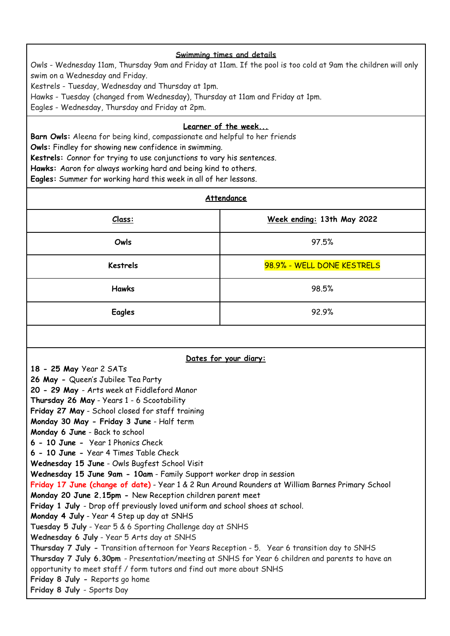#### **Swimming times and details**

Owls - Wednesday 11am, Thursday 9am and Friday at 11am. If the pool is too cold at 9am the children will only swim on a Wednesday and Friday.

Kestrels - Tuesday, Wednesday and Thursday at 1pm.

Hawks - Tuesday (changed from Wednesday), Thursday at 11am and Friday at 1pm.

Eagles - Wednesday, Thursday and Friday at 2pm.

### **Learner of the week...**

**Barn Owls:** Aleena for being kind, compassionate and helpful to her friends

**Owls:** Findley for showing new confidence in swimming.

**Kestrels:** Connor for trying to use conjunctions to vary his sentences.

**Hawks:** Aaron for always working hard and being kind to others.

**Eagles:** Summer for working hard this week in all of her lessons.

| <u>Class:</u>                                                                                                                                                                                                                                                                                                                                                                                                                                                                                                                                                                                                                                                                                                                                                                                                                                                                                                                                                                                                                                                                                                                                                                                                                                                 | Week ending: 13th May 2022 |  |
|---------------------------------------------------------------------------------------------------------------------------------------------------------------------------------------------------------------------------------------------------------------------------------------------------------------------------------------------------------------------------------------------------------------------------------------------------------------------------------------------------------------------------------------------------------------------------------------------------------------------------------------------------------------------------------------------------------------------------------------------------------------------------------------------------------------------------------------------------------------------------------------------------------------------------------------------------------------------------------------------------------------------------------------------------------------------------------------------------------------------------------------------------------------------------------------------------------------------------------------------------------------|----------------------------|--|
|                                                                                                                                                                                                                                                                                                                                                                                                                                                                                                                                                                                                                                                                                                                                                                                                                                                                                                                                                                                                                                                                                                                                                                                                                                                               |                            |  |
| Owls                                                                                                                                                                                                                                                                                                                                                                                                                                                                                                                                                                                                                                                                                                                                                                                                                                                                                                                                                                                                                                                                                                                                                                                                                                                          | 97.5%                      |  |
| <b>Kestrels</b>                                                                                                                                                                                                                                                                                                                                                                                                                                                                                                                                                                                                                                                                                                                                                                                                                                                                                                                                                                                                                                                                                                                                                                                                                                               | 98.9% - WELL DONE KESTRELS |  |
| <b>Hawks</b>                                                                                                                                                                                                                                                                                                                                                                                                                                                                                                                                                                                                                                                                                                                                                                                                                                                                                                                                                                                                                                                                                                                                                                                                                                                  | 98.5%                      |  |
| <b>Eagles</b>                                                                                                                                                                                                                                                                                                                                                                                                                                                                                                                                                                                                                                                                                                                                                                                                                                                                                                                                                                                                                                                                                                                                                                                                                                                 | 92.9%                      |  |
|                                                                                                                                                                                                                                                                                                                                                                                                                                                                                                                                                                                                                                                                                                                                                                                                                                                                                                                                                                                                                                                                                                                                                                                                                                                               |                            |  |
| Dates for your diary:<br>18 - 25 May Year 2 SATs<br>26 May - Queen's Jubilee Tea Party<br>20 - 29 May - Arts week at Fiddleford Manor<br>Thursday 26 May - Years 1 - 6 Scootability<br>Friday 27 May - School closed for staff training<br>Monday 30 May - Friday 3 June - Half term<br>Monday 6 June - Back to school<br>6 - 10 June - Year 1 Phonics Check<br>6 - 10 June - Year 4 Times Table Check<br>Wednesday 15 June - Owls Bugfest School Visit<br>Wednesday 15 June 9am - 10am - Family Support worker drop in session<br>Friday 17 June (change of date) - Year 1 & 2 Run Around Rounders at William Barnes Primary School<br>Monday 20 June 2.15pm - New Reception children parent meet<br>Friday 1 July - Drop off previously loved uniform and school shoes at school.<br>Monday 4 July - Year 4 Step up day at SNHS<br>Tuesday 5 July - Year 5 & 6 Sporting Challenge day at SNHS<br>Wednesday 6 July - Year 5 Arts day at SNHS<br>Thursday 7 July - Transition afternoon for Years Reception - 5. Year 6 transition day to SNHS<br>Thursday 7 July 6.30pm - Presentation/meeting at SNHS for Year 6 children and parents to have an<br>opportunity to meet staff / form tutors and find out more about SNHS<br>Friday 8 July - Reports go home |                            |  |